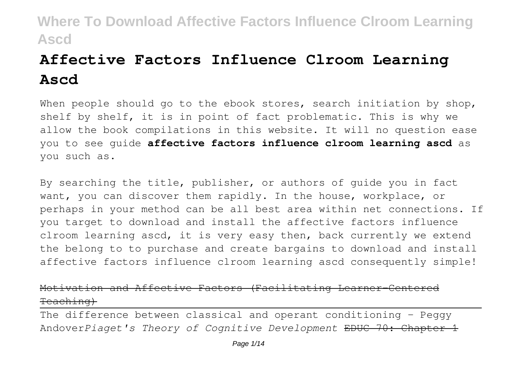# **Affective Factors Influence Clroom Learning Ascd**

When people should go to the ebook stores, search initiation by shop, shelf by shelf, it is in point of fact problematic. This is why we allow the book compilations in this website. It will no question ease you to see guide **affective factors influence clroom learning ascd** as you such as.

By searching the title, publisher, or authors of guide you in fact want, you can discover them rapidly. In the house, workplace, or perhaps in your method can be all best area within net connections. If you target to download and install the affective factors influence clroom learning ascd, it is very easy then, back currently we extend the belong to to purchase and create bargains to download and install affective factors influence clroom learning ascd consequently simple!

## Motivation and Affective Factors (Facilitating Learner Teaching)

The difference between classical and operant conditioning - Peggy Andover*Piaget's Theory of Cognitive Development* EDUC 70: Chapter 1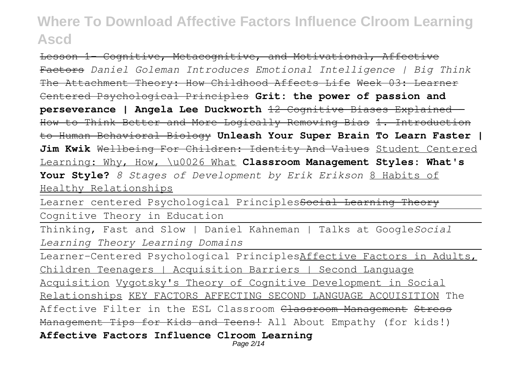Lesson 1- Cognitive, Metacognitive, and Motivational, Affective Factors *Daniel Goleman Introduces Emotional Intelligence | Big Think* The Attachment Theory: How Childhood Affects Life Week 03: Learner Centered Psychological Principles **Grit: the power of passion and perseverance | Angela Lee Duckworth** 12 Cognitive Biases Explained - How to Think Better and More Logically Removing Bias 1. Introduction to Human Behavioral Biology **Unleash Your Super Brain To Learn Faster | Jim Kwik** Wellbeing For Children: Identity And Values Student Centered Learning: Why, How, \u0026 What **Classroom Management Styles: What's Your Style?** *8 Stages of Development by Erik Erikson* 8 Habits of Healthy Relationships

Learner centered Psychological Principlessocial Learnine

Cognitive Theory in Education

Thinking, Fast and Slow | Daniel Kahneman | Talks at Google*Social Learning Theory Learning Domains*

Learner-Centered Psychological PrinciplesAffective Factors in Adults, Children Teenagers | Acquisition Barriers | Second Language Acquisition Vygotsky's Theory of Cognitive Development in Social Relationships KEY FACTORS AFFECTING SECOND LANGUAGE ACQUISITION The Affective Filter in the ESL Classroom Classroom Management Stress Management Tips for Kids and Teens! All About Empathy (for kids!) **Affective Factors Influence Clroom Learning**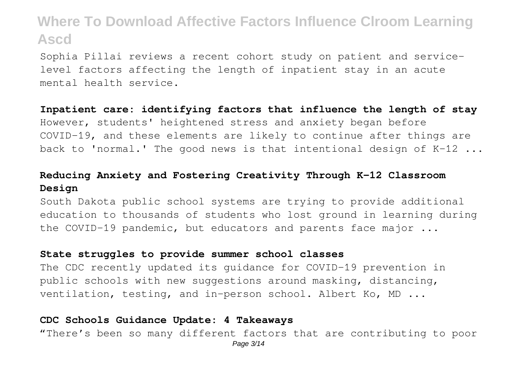Sophia Pillai reviews a recent cohort study on patient and servicelevel factors affecting the length of inpatient stay in an acute mental health service.

#### **Inpatient care: identifying factors that influence the length of stay**

However, students' heightened stress and anxiety began before COVID-19, and these elements are likely to continue after things are back to 'normal.' The good news is that intentional design of K-12 ...

## **Reducing Anxiety and Fostering Creativity Through K-12 Classroom Design**

South Dakota public school systems are trying to provide additional education to thousands of students who lost ground in learning during the COVID-19 pandemic, but educators and parents face major ...

#### **State struggles to provide summer school classes**

The CDC recently updated its guidance for COVID-19 prevention in public schools with new suggestions around masking, distancing, ventilation, testing, and in-person school. Albert Ko, MD ...

#### **CDC Schools Guidance Update: 4 Takeaways**

"There's been so many different factors that are contributing to poor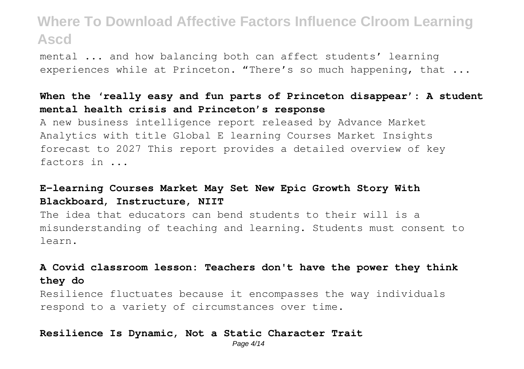mental ... and how balancing both can affect students' learning experiences while at Princeton. "There's so much happening, that ...

## **When the 'really easy and fun parts of Princeton disappear': A student mental health crisis and Princeton's response**

A new business intelligence report released by Advance Market Analytics with title Global E learning Courses Market Insights forecast to 2027 This report provides a detailed overview of key factors in ...

### **E-learning Courses Market May Set New Epic Growth Story With Blackboard, Instructure, NIIT**

The idea that educators can bend students to their will is a misunderstanding of teaching and learning. Students must consent to learn.

## **A Covid classroom lesson: Teachers don't have the power they think they do**

Resilience fluctuates because it encompasses the way individuals respond to a variety of circumstances over time.

#### **Resilience Is Dynamic, Not a Static Character Trait**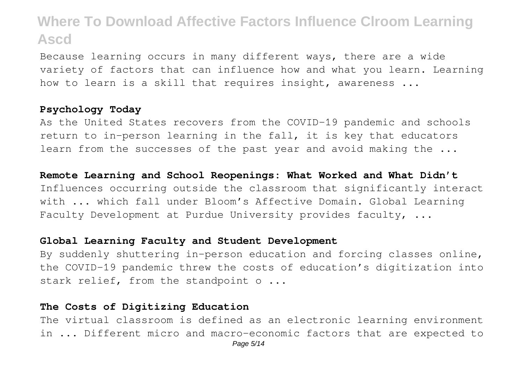Because learning occurs in many different ways, there are a wide variety of factors that can influence how and what you learn. Learning how to learn is a skill that requires insight, awareness ...

#### **Psychology Today**

As the United States recovers from the COVID-19 pandemic and schools return to in-person learning in the fall, it is key that educators learn from the successes of the past year and avoid making the ...

#### **Remote Learning and School Reopenings: What Worked and What Didn't**

Influences occurring outside the classroom that significantly interact with ... which fall under Bloom's Affective Domain. Global Learning Faculty Development at Purdue University provides faculty, ...

#### **Global Learning Faculty and Student Development**

By suddenly shuttering in-person education and forcing classes online, the COVID-19 pandemic threw the costs of education's digitization into stark relief, from the standpoint o ...

#### **The Costs of Digitizing Education**

The virtual classroom is defined as an electronic learning environment in ... Different micro and macro-economic factors that are expected to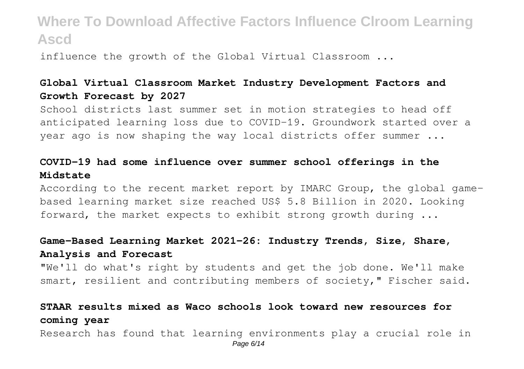influence the growth of the Global Virtual Classroom ...

## **Global Virtual Classroom Market Industry Development Factors and Growth Forecast by 2027**

School districts last summer set in motion strategies to head off anticipated learning loss due to COVID-19. Groundwork started over a year ago is now shaping the way local districts offer summer ...

## **COVID-19 had some influence over summer school offerings in the Midstate**

According to the recent market report by IMARC Group, the global gamebased learning market size reached US\$ 5.8 Billion in 2020. Looking forward, the market expects to exhibit strong growth during ...

### **Game-Based Learning Market 2021-26: Industry Trends, Size, Share, Analysis and Forecast**

"We'll do what's right by students and get the job done. We'll make smart, resilient and contributing members of society," Fischer said.

## **STAAR results mixed as Waco schools look toward new resources for coming year**

Research has found that learning environments play a crucial role in Page 6/14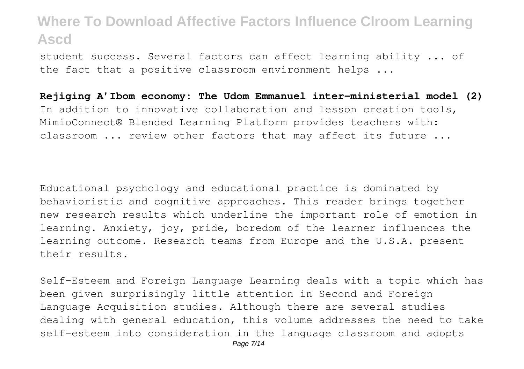student success. Several factors can affect learning ability ... of the fact that a positive classroom environment helps ...

**Rejiging A'Ibom economy: The Udom Emmanuel inter-ministerial model (2)** In addition to innovative collaboration and lesson creation tools, MimioConnect® Blended Learning Platform provides teachers with: classroom ... review other factors that may affect its future ...

Educational psychology and educational practice is dominated by behavioristic and cognitive approaches. This reader brings together new research results which underline the important role of emotion in learning. Anxiety, joy, pride, boredom of the learner influences the learning outcome. Research teams from Europe and the U.S.A. present their results.

Self-Esteem and Foreign Language Learning deals with a topic which has been given surprisingly little attention in Second and Foreign Language Acquisition studies. Although there are several studies dealing with general education, this volume addresses the need to take self-esteem into consideration in the language classroom and adopts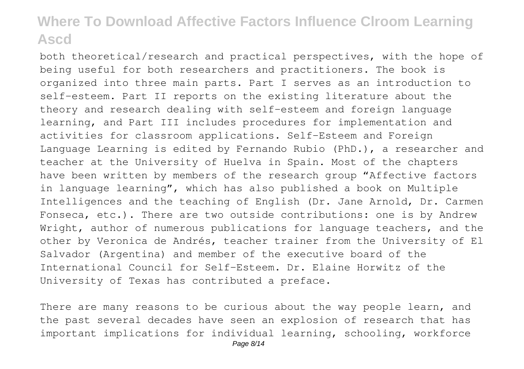both theoretical/research and practical perspectives, with the hope of being useful for both researchers and practitioners. The book is organized into three main parts. Part I serves as an introduction to self-esteem. Part II reports on the existing literature about the theory and research dealing with self-esteem and foreign language learning, and Part III includes procedures for implementation and activities for classroom applications. Self-Esteem and Foreign Language Learning is edited by Fernando Rubio (PhD.), a researcher and teacher at the University of Huelva in Spain. Most of the chapters have been written by members of the research group "Affective factors in language learning", which has also published a book on Multiple Intelligences and the teaching of English (Dr. Jane Arnold, Dr. Carmen Fonseca, etc.). There are two outside contributions: one is by Andrew Wright, author of numerous publications for language teachers, and the other by Veronica de Andrés, teacher trainer from the University of El Salvador (Argentina) and member of the executive board of the International Council for Self-Esteem. Dr. Elaine Horwitz of the University of Texas has contributed a preface.

There are many reasons to be curious about the way people learn, and the past several decades have seen an explosion of research that has important implications for individual learning, schooling, workforce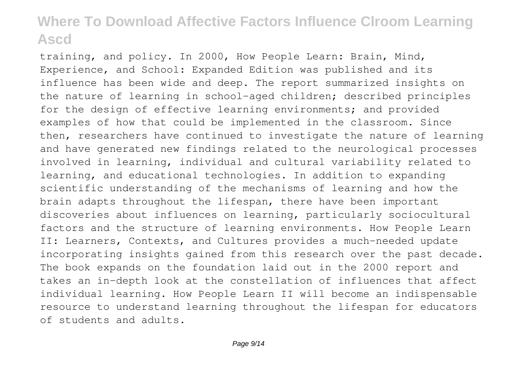training, and policy. In 2000, How People Learn: Brain, Mind, Experience, and School: Expanded Edition was published and its influence has been wide and deep. The report summarized insights on the nature of learning in school-aged children; described principles for the design of effective learning environments; and provided examples of how that could be implemented in the classroom. Since then, researchers have continued to investigate the nature of learning and have generated new findings related to the neurological processes involved in learning, individual and cultural variability related to learning, and educational technologies. In addition to expanding scientific understanding of the mechanisms of learning and how the brain adapts throughout the lifespan, there have been important discoveries about influences on learning, particularly sociocultural factors and the structure of learning environments. How People Learn II: Learners, Contexts, and Cultures provides a much-needed update incorporating insights gained from this research over the past decade. The book expands on the foundation laid out in the 2000 report and takes an in-depth look at the constellation of influences that affect individual learning. How People Learn II will become an indispensable resource to understand learning throughout the lifespan for educators of students and adults.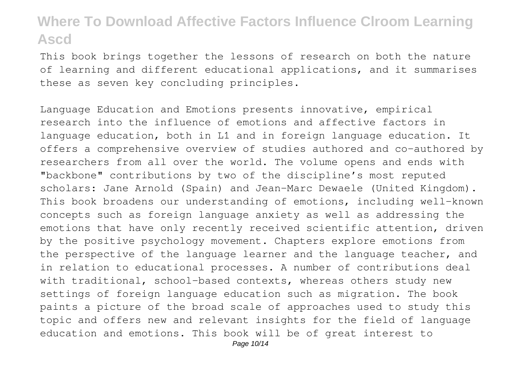This book brings together the lessons of research on both the nature of learning and different educational applications, and it summarises these as seven key concluding principles.

Language Education and Emotions presents innovative, empirical research into the influence of emotions and affective factors in language education, both in L1 and in foreign language education. It offers a comprehensive overview of studies authored and co-authored by researchers from all over the world. The volume opens and ends with "backbone" contributions by two of the discipline's most reputed scholars: Jane Arnold (Spain) and Jean-Marc Dewaele (United Kingdom). This book broadens our understanding of emotions, including well-known concepts such as foreign language anxiety as well as addressing the emotions that have only recently received scientific attention, driven by the positive psychology movement. Chapters explore emotions from the perspective of the language learner and the language teacher, and in relation to educational processes. A number of contributions deal with traditional, school-based contexts, whereas others study new settings of foreign language education such as migration. The book paints a picture of the broad scale of approaches used to study this topic and offers new and relevant insights for the field of language education and emotions. This book will be of great interest to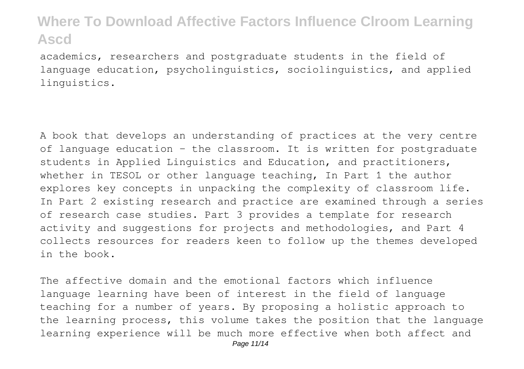academics, researchers and postgraduate students in the field of language education, psycholinguistics, sociolinguistics, and applied linguistics.

A book that develops an understanding of practices at the very centre of language education - the classroom. It is written for postgraduate students in Applied Linguistics and Education, and practitioners, whether in TESOL or other language teaching, In Part 1 the author explores key concepts in unpacking the complexity of classroom life. In Part 2 existing research and practice are examined through a series of research case studies. Part 3 provides a template for research activity and suggestions for projects and methodologies, and Part 4 collects resources for readers keen to follow up the themes developed in the book.

The affective domain and the emotional factors which influence language learning have been of interest in the field of language teaching for a number of years. By proposing a holistic approach to the learning process, this volume takes the position that the language learning experience will be much more effective when both affect and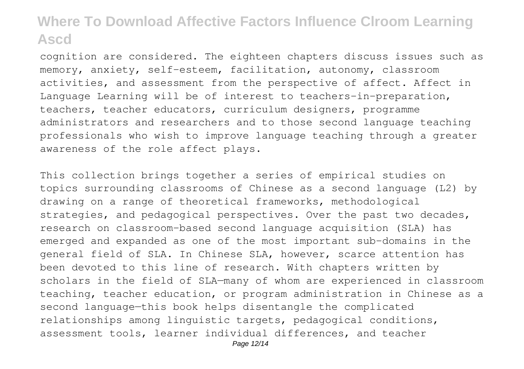cognition are considered. The eighteen chapters discuss issues such as memory, anxiety, self-esteem, facilitation, autonomy, classroom activities, and assessment from the perspective of affect. Affect in Language Learning will be of interest to teachers-in-preparation, teachers, teacher educators, curriculum designers, programme administrators and researchers and to those second language teaching professionals who wish to improve language teaching through a greater awareness of the role affect plays.

This collection brings together a series of empirical studies on topics surrounding classrooms of Chinese as a second language (L2) by drawing on a range of theoretical frameworks, methodological strategies, and pedagogical perspectives. Over the past two decades, research on classroom-based second language acquisition (SLA) has emerged and expanded as one of the most important sub-domains in the general field of SLA. In Chinese SLA, however, scarce attention has been devoted to this line of research. With chapters written by scholars in the field of SLA—many of whom are experienced in classroom teaching, teacher education, or program administration in Chinese as a second language—this book helps disentangle the complicated relationships among linguistic targets, pedagogical conditions, assessment tools, learner individual differences, and teacher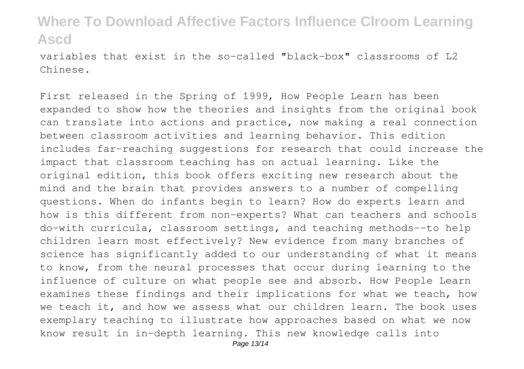variables that exist in the so-called "black-box" classrooms of L2 Chinese.

First released in the Spring of 1999, How People Learn has been expanded to show how the theories and insights from the original book can translate into actions and practice, now making a real connection between classroom activities and learning behavior. This edition includes far-reaching suggestions for research that could increase the impact that classroom teaching has on actual learning. Like the original edition, this book offers exciting new research about the mind and the brain that provides answers to a number of compelling questions. When do infants begin to learn? How do experts learn and how is this different from non-experts? What can teachers and schools do-with curricula, classroom settings, and teaching methods--to help children learn most effectively? New evidence from many branches of science has significantly added to our understanding of what it means to know, from the neural processes that occur during learning to the influence of culture on what people see and absorb. How People Learn examines these findings and their implications for what we teach, how we teach it, and how we assess what our children learn. The book uses exemplary teaching to illustrate how approaches based on what we now know result in in-depth learning. This new knowledge calls into